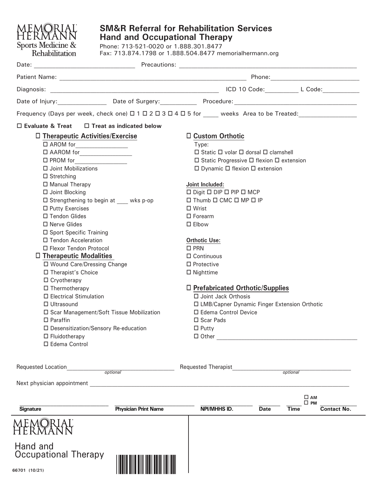| Date of Injury: Date of Surgery: Procedure: Procedure: 2008. All Discoversion of Injury:<br>Frequency (Days per week, check one) $\Box$ 1 $\Box$ 2 $\Box$ 3 $\Box$ 4 $\Box$ 5 for weeks Area to be Treated:<br>$\Box$ Custom Orthotic<br>$\Box$ Static $\Box$ volar $\Box$ dorsal $\Box$ clamshell<br>$\Box$ Static Progressive $\Box$ flexion $\Box$ extension<br>$\Box$ Dynamic $\Box$ flexion $\Box$ extension<br>$\square$ Digit $\square$ DIP $\square$ PIP $\square$ MCP<br>□ Thumb □ CMC □ MP □ IP |
|-----------------------------------------------------------------------------------------------------------------------------------------------------------------------------------------------------------------------------------------------------------------------------------------------------------------------------------------------------------------------------------------------------------------------------------------------------------------------------------------------------------|
|                                                                                                                                                                                                                                                                                                                                                                                                                                                                                                           |
|                                                                                                                                                                                                                                                                                                                                                                                                                                                                                                           |
|                                                                                                                                                                                                                                                                                                                                                                                                                                                                                                           |
|                                                                                                                                                                                                                                                                                                                                                                                                                                                                                                           |
|                                                                                                                                                                                                                                                                                                                                                                                                                                                                                                           |
|                                                                                                                                                                                                                                                                                                                                                                                                                                                                                                           |
|                                                                                                                                                                                                                                                                                                                                                                                                                                                                                                           |
|                                                                                                                                                                                                                                                                                                                                                                                                                                                                                                           |
|                                                                                                                                                                                                                                                                                                                                                                                                                                                                                                           |
|                                                                                                                                                                                                                                                                                                                                                                                                                                                                                                           |
|                                                                                                                                                                                                                                                                                                                                                                                                                                                                                                           |
|                                                                                                                                                                                                                                                                                                                                                                                                                                                                                                           |
|                                                                                                                                                                                                                                                                                                                                                                                                                                                                                                           |
|                                                                                                                                                                                                                                                                                                                                                                                                                                                                                                           |
|                                                                                                                                                                                                                                                                                                                                                                                                                                                                                                           |
|                                                                                                                                                                                                                                                                                                                                                                                                                                                                                                           |
|                                                                                                                                                                                                                                                                                                                                                                                                                                                                                                           |
|                                                                                                                                                                                                                                                                                                                                                                                                                                                                                                           |
|                                                                                                                                                                                                                                                                                                                                                                                                                                                                                                           |
|                                                                                                                                                                                                                                                                                                                                                                                                                                                                                                           |
|                                                                                                                                                                                                                                                                                                                                                                                                                                                                                                           |
|                                                                                                                                                                                                                                                                                                                                                                                                                                                                                                           |
| □ Prefabricated Orthotic/Supplies                                                                                                                                                                                                                                                                                                                                                                                                                                                                         |
| □ Joint Jack Orthosis                                                                                                                                                                                                                                                                                                                                                                                                                                                                                     |
| □ LMB/Capner Dynamic Finger Extension Orthotic                                                                                                                                                                                                                                                                                                                                                                                                                                                            |
| □ Edema Control Device                                                                                                                                                                                                                                                                                                                                                                                                                                                                                    |
|                                                                                                                                                                                                                                                                                                                                                                                                                                                                                                           |
|                                                                                                                                                                                                                                                                                                                                                                                                                                                                                                           |
|                                                                                                                                                                                                                                                                                                                                                                                                                                                                                                           |
|                                                                                                                                                                                                                                                                                                                                                                                                                                                                                                           |
|                                                                                                                                                                                                                                                                                                                                                                                                                                                                                                           |
| optional                                                                                                                                                                                                                                                                                                                                                                                                                                                                                                  |
|                                                                                                                                                                                                                                                                                                                                                                                                                                                                                                           |
| $\square$ AM<br>$\square$ PM                                                                                                                                                                                                                                                                                                                                                                                                                                                                              |
| NPI/MHHS ID.<br><b>Date</b><br><b>Time</b><br>Contact No.                                                                                                                                                                                                                                                                                                                                                                                                                                                 |
| <b>Requested Therapist</b>                                                                                                                                                                                                                                                                                                                                                                                                                                                                                |